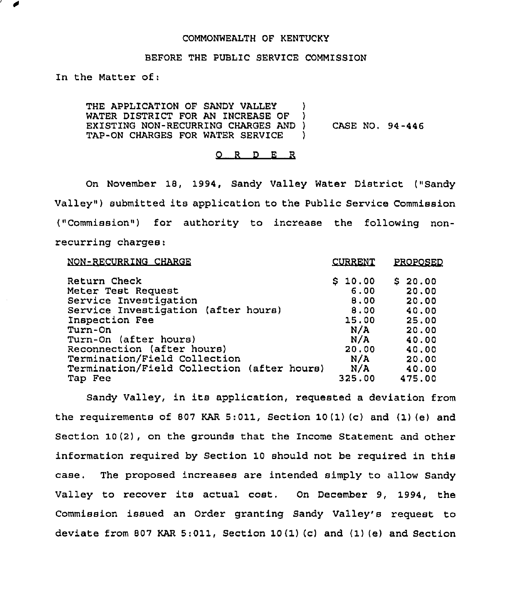## COMMONWEALTH OF KENTUCKY

#### BEFORE THE PUBLIC SERVICE COMMISSION

In the Matter of:

THE APPLICATION OF SANDY VALLEY )<br>WATER DISTRICT FOR AN INCREASE OF ) WATER DISTRICT FOR AN INCREASE OF EXISTING NON-RECURRING CHARGES AND ) CASE NO. 94-446<br>TAP-ON CHARGES FOR WATER SERVICE TAP-ON CHARGES FOR WATER SERVICE

#### 0 <sup>R</sup> <sup>D</sup> <sup>E</sup> <sup>R</sup>

On November 18, 1994, Sandy Valley Water District ("Sandy Valley") submitted its application to the Public Service Commission ("Commission") for authority to increase the following nonrecurring charges:

| NON-RECURRING CHARGE                                                                                                                                                                                                                                                 | <b>CURRENT</b>                                                                | <b>PROPOSED</b>                                                                          |
|----------------------------------------------------------------------------------------------------------------------------------------------------------------------------------------------------------------------------------------------------------------------|-------------------------------------------------------------------------------|------------------------------------------------------------------------------------------|
| Return Check<br>Meter Test Request<br>Service Investigation<br>Service Investigation (after hours)<br>Inspection Fee<br>Turn-On<br>Turn-On (after hours)<br>Reconnection (after hours)<br>Termination/Field Collection<br>Termination/Field Collection (after hours) | \$10.00<br>6.00<br>8.00<br>8.00<br>15.00<br>N/A<br>N/A<br>20,00<br>N/A<br>N/A | \$20.00<br>20.00<br>20.00<br>40.00<br>25.00<br>20.00<br>40.00<br>40.00<br>20.00<br>40.00 |
| Tap Fee                                                                                                                                                                                                                                                              | 325.00                                                                        | 475.00                                                                                   |

Sandy Valley, in its application, requested <sup>a</sup> deviation from the requirements of 807 KAR 5:011, Section 10(1)(c) and (1)(e) and Section 10(2), on the grounds that the Income Statement and other information required by Section 10 should not be required in this case. The proposed increases are intended simply to allow Sandy Valley to recover its actual cost. On December 9, 1994, the Commission issued an Order granting Sandy Valley's request to deviate from 807 KAR 5:011, Section 10 {1)(c) and (1)(e) and Section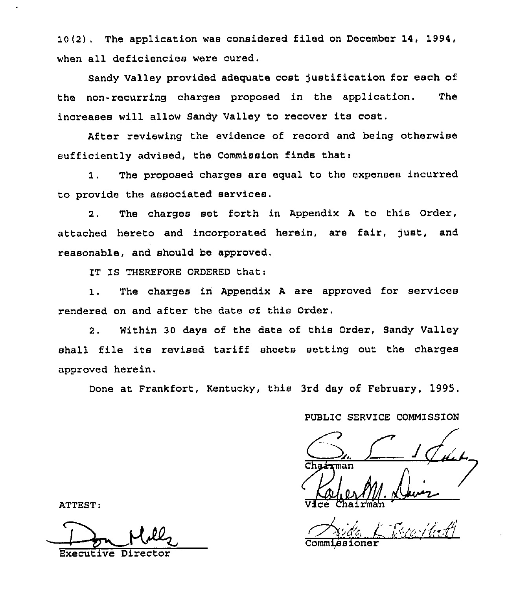10(2) . The application was considered filed on December 14, 1994, when all deficiencies were cured.

Sandy Valley provided adequate coat justification for each of the non-recurring charges proposed in the application. The increases will allow Sandy Valley to recover its cost.

After reviewing the evidence of record and being otherwise sufficiently advised, the Commission finds that:

1, The proposed charges are equal to the expenses incurred to provide the associated services.

2. The charges set forth in Appendix <sup>A</sup> to this Order, attached hereto and incorporated herein, are fair, just, and reasonable, and should be approved.

IT IS THEREFORE ORDERED that:

1. The charges in Appendix <sup>A</sup> are approved for services rendered on and after the date of this Order.

2. Within 30 days of the date of this Order, Sandy Valley shall file its revised tariff sheets setting out the charges approved herein.

Done at Frankfort, Kentucky, this 3rd day of February, 1995.

PUBLIC SERVICE COMMISSION

 $\frac{1}{\sqrt{4\pi}}$ 

Vice Chairma

I rida L. Brailet Commissioner

ATTEST:

Executive Director